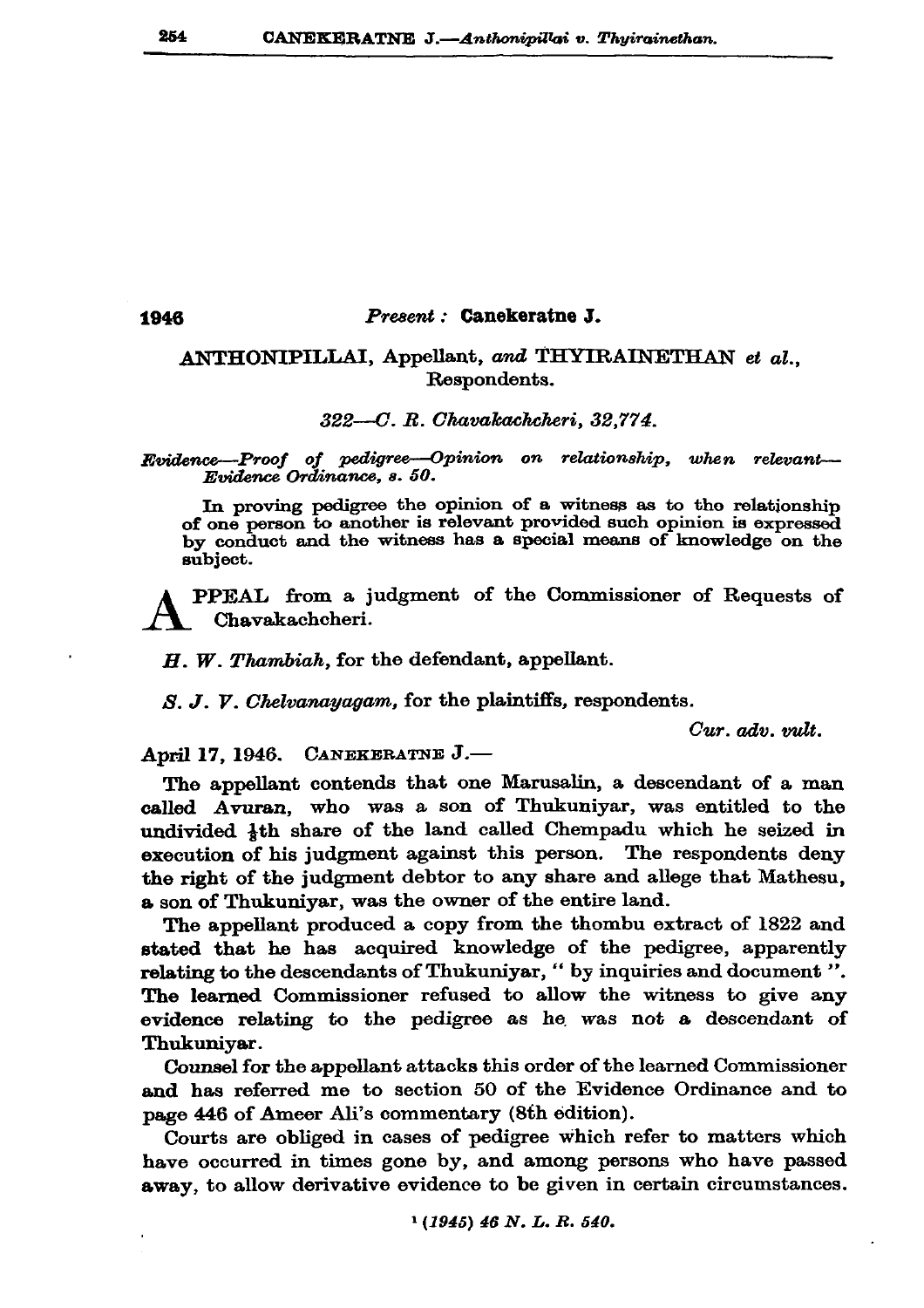## Present : Canekeratne J.

## ANTHONIPILLAI, Appellant, and THYIRAINETHAN et al., Respondents.

## 322-C. R. Chavakachcheri, 32.774.

Evidence-Proof of pedigree-Opinion on relationship, when relevant-Evidence Ordinance, s. 50.

In proving pedigree the opinion of a witness as to the relationship of one person to another is relevant provided such opinion is expressed by conduct and the witness has a special means of knowledge on the subject.

PPEAL from a judgment of the Commissioner of Requests of Chavakachcheri.

 $H.$  W. Thambiah, for the defendant, appellant.

S. J. V. Chelvanayagam, for the plaintiffs, respondents.

Cur. adv. milt.

April 17, 1946. CANEKERATNE J.-

The appellant contends that one Marusalin, a descendant of a man called Avuran, who was a son of Thukuniyar, was entitled to the undivided 4th share of the land called Chempadu which he seized in execution of his judgment against this person. The respondents deny the right of the judgment debtor to any share and allege that Mathesu. a son of Thukuniyar, was the owner of the entire land.

The appellant produced a copy from the thombu extract of 1822 and stated that he has acquired knowledge of the pedigree, apparently relating to the descendants of Thukuniyar, " by inquiries and document ". The learned Commissioner refused to allow the witness to give any evidence relating to the pedigree as he was not a descendant of Thukuniyar.

Counsel for the appellant attacks this order of the learned Commissioner and has referred me to section 50 of the Evidence Ordinance and to page 446 of Ameer Ali's commentary (8th edition).

Courts are obliged in cases of pedigree which refer to matters which have occurred in times gone by, and among persons who have passed away, to allow derivative evidence to be given in certain circumstances.

1946